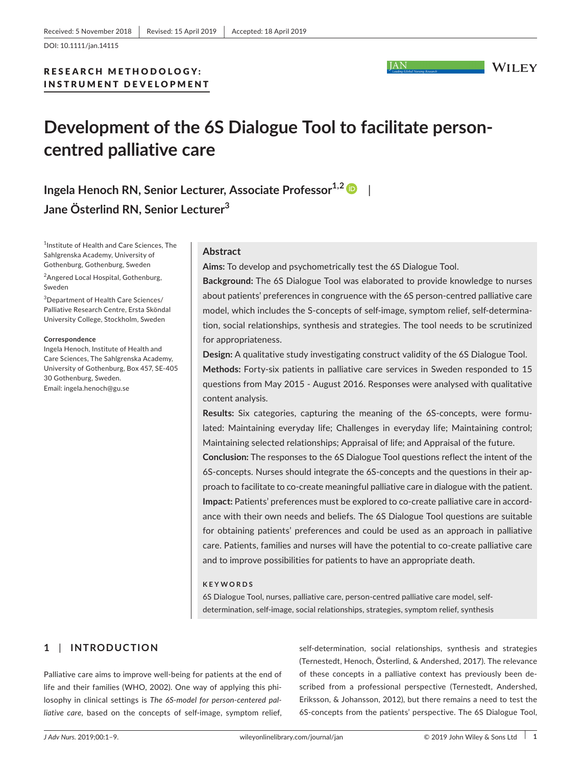DOI: 10.1111/jan.14115

# RESEARCH METHODOLOGY: INSTRUMENT DEVELOPMENT

**JAN** 

**WILEY** 

# **Development of the 6S Dialogue Tool to facilitate person‐ centred palliative care**

**Ingela Henoch RN, Senior Lecturer, Associate Professor<sup>1,2</sup> Jane Österlind RN, Senior Lecturer<sup>3</sup>**

1 Institute of Health and Care Sciences, The Sahlgrenska Academy, University of Gothenburg, Gothenburg, Sweden

<sup>2</sup>Angered Local Hospital, Gothenburg, Sweden

3 Department of Health Care Sciences/ Palliative Research Centre, Ersta Sköndal University College, Stockholm, Sweden

#### **Correspondence**

Ingela Henoch, Institute of Health and Care Sciences, The Sahlgrenska Academy, University of Gothenburg, Box 457, SE‐405 30 Gothenburg, Sweden. Email: [ingela.henoch@gu.se](mailto:ingela.henoch@gu.se)

### **Abstract**

**Aims:** To develop and psychometrically test the 6S Dialogue Tool.

**Background:** The 6S Dialogue Tool was elaborated to provide knowledge to nurses about patients' preferences in congruence with the 6S person‐centred palliative care model, which includes the S-concepts of self-image, symptom relief, self-determination, social relationships, synthesis and strategies. The tool needs to be scrutinized for appropriateness.

**Design:** A qualitative study investigating construct validity of the 6S Dialogue Tool. **Methods:** Forty‐six patients in palliative care services in Sweden responded to 15 questions from May 2015 ‐ August 2016. Responses were analysed with qualitative content analysis.

**Results:** Six categories, capturing the meaning of the 6S-concepts, were formulated: Maintaining everyday life; Challenges in everyday life; Maintaining control; Maintaining selected relationships; Appraisal of life; and Appraisal of the future.

**Conclusion:** The responses to the 6S Dialogue Tool questions reflect the intent of the 6S‐concepts. Nurses should integrate the 6S‐concepts and the questions in their ap‐ proach to facilitate to co‐create meaningful palliative care in dialogue with the patient. **Impact:** Patients' preferences must be explored to co-create palliative care in accordance with their own needs and beliefs. The 6S Dialogue Tool questions are suitable for obtaining patients' preferences and could be used as an approach in palliative care. Patients, families and nurses will have the potential to co-create palliative care and to improve possibilities for patients to have an appropriate death.

#### **KEYWORDS**

6S Dialogue Tool, nurses, palliative care, person-centred palliative care model, selfdetermination, self-image, social relationships, strategies, symptom relief, synthesis

# **1** | **INTRODUCTION**

Palliative care aims to improve well-being for patients at the end of life and their families (WHO, 2002). One way of applying this phi‐ losophy in clinical settings is *The 6S‐model for person‐centered pal‐* liative care, based on the concepts of self-image, symptom relief,

self-determination, social relationships, synthesis and strategies (Ternestedt, Henoch, Österlind, & Andershed, 2017). The relevance of these concepts in a palliative context has previously been de‐ scribed from a professional perspective (Ternestedt, Andershed, Eriksson, & Johansson, 2012), but there remains a need to test the 6S‐concepts from the patients' perspective. The 6S Dialogue Tool,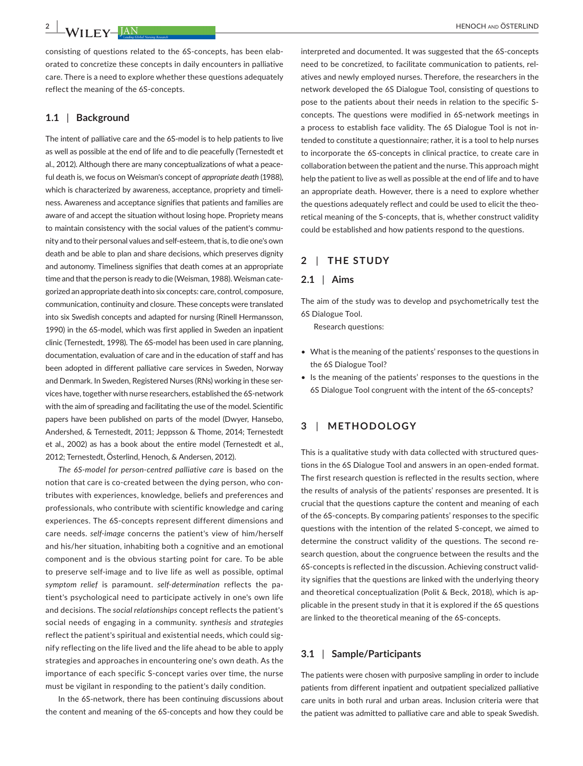consisting of questions related to the 6S‐concepts, has been elab‐ orated to concretize these concepts in daily encounters in palliative care. There is a need to explore whether these questions adequately reflect the meaning of the 6S‐concepts.

#### **1.1** | **Background**

The intent of palliative care and the 6S-model is to help patients to live as well as possible at the end of life and to die peacefully (Ternestedt et al., 2012). Although there are many conceptualizations of what a peace‐ ful death is, we focus on Weisman's concept of *appropriate death* (1988), which is characterized by awareness, acceptance, propriety and timeliness. Awareness and acceptance signifies that patients and families are aware of and accept the situation without losing hope. Propriety means to maintain consistency with the social values of the patient's commu‐ nity and to their personal values and self‐esteem, that is, to die one's own death and be able to plan and share decisions, which preserves dignity and autonomy. Timeliness signifies that death comes at an appropriate time and that the person is ready to die (Weisman, 1988). Weisman cate‐ gorized an appropriate death into six concepts: care, control, composure, communication, continuity and closure. These concepts were translated into six Swedish concepts and adapted for nursing (Rinell Hermansson, 1990) in the 6S-model, which was first applied in Sweden an inpatient clinic (Ternestedt, 1998). The 6S‐model has been used in care planning, documentation, evaluation of care and in the education of staff and has been adopted in different palliative care services in Sweden, Norway and Denmark. In Sweden, Registered Nurses (RNs) working in these ser‐ vices have, together with nurse researchers, established the 6S‐network with the aim of spreading and facilitating the use of the model. Scientific papers have been published on parts of the model (Dwyer, Hansebo, Andershed, & Ternestedt, 2011; Jeppsson & Thome, 2014; Ternestedt et al., 2002) as has a book about the entire model (Ternestedt et al., 2012; Ternestedt, Österlind, Henoch, & Andersen, 2012).

*The 6S‐model for person‐centred palliative care* is based on the notion that care is co‐created between the dying person, who con‐ tributes with experiences, knowledge, beliefs and preferences and professionals, who contribute with scientific knowledge and caring experiences. The 6S‐concepts represent different dimensions and care needs. *self‐image* concerns the patient's view of him/herself and his/her situation, inhabiting both a cognitive and an emotional component and is the obvious starting point for care. To be able to preserve self‐image and to live life as well as possible, optimal *symptom relief* is paramount. *self‐determination* reflects the pa‐ tient's psychological need to participate actively in one's own life and decisions. The *social relationships* concept reflects the patient's social needs of engaging in a community. *synthesis* and *strategies* reflect the patient's spiritual and existential needs, which could sig‐ nify reflecting on the life lived and the life ahead to be able to apply strategies and approaches in encountering one's own death. As the importance of each specific S‐concept varies over time, the nurse must be vigilant in responding to the patient's daily condition.

In the 6S‐network, there has been continuing discussions about the content and meaning of the 6S‐concepts and how they could be

interpreted and documented. It was suggested that the 6S‐concepts need to be concretized, to facilitate communication to patients, rel‐ atives and newly employed nurses. Therefore, the researchers in the network developed the 6S Dialogue Tool, consisting of questions to pose to the patients about their needs in relation to the specific S‐ concepts. The questions were modified in 6S‐network meetings in a process to establish face validity. The 6S Dialogue Tool is not in‐ tended to constitute a questionnaire; rather, it is a tool to help nurses to incorporate the 6S‐concepts in clinical practice, to create care in collaboration between the patient and the nurse. This approach might help the patient to live as well as possible at the end of life and to have an appropriate death. However, there is a need to explore whether the questions adequately reflect and could be used to elicit the theo‐ retical meaning of the S-concepts, that is, whether construct validity could be established and how patients respond to the questions.

# **2** | **THE STUDY**

#### **2.1** | **Aims**

The aim of the study was to develop and psychometrically test the 6S Dialogue Tool.

Research questions:

- What is the meaning of the patients' responses to the questions in the 6S Dialogue Tool?
- Is the meaning of the patients' responses to the questions in the 6S Dialogue Tool congruent with the intent of the 6S‐concepts?

# **3** | **METHODOLOGY**

This is a qualitative study with data collected with structured ques‐ tions in the 6S Dialogue Tool and answers in an open‐ended format. The first research question is reflected in the results section, where the results of analysis of the patients' responses are presented. It is crucial that the questions capture the content and meaning of each of the 6S‐concepts. By comparing patients' responses to the specific questions with the intention of the related S‐concept, we aimed to determine the construct validity of the questions. The second re‐ search question, about the congruence between the results and the 6S‐concepts is reflected in the discussion. Achieving construct valid‐ ity signifies that the questions are linked with the underlying theory and theoretical conceptualization (Polit & Beck, 2018), which is applicable in the present study in that it is explored if the 6S questions are linked to the theoretical meaning of the 6S‐concepts.

#### **3.1** | **Sample/Participants**

The patients were chosen with purposive sampling in order to include patients from different inpatient and outpatient specialized palliative care units in both rural and urban areas. Inclusion criteria were that the patient was admitted to palliative care and able to speak Swedish.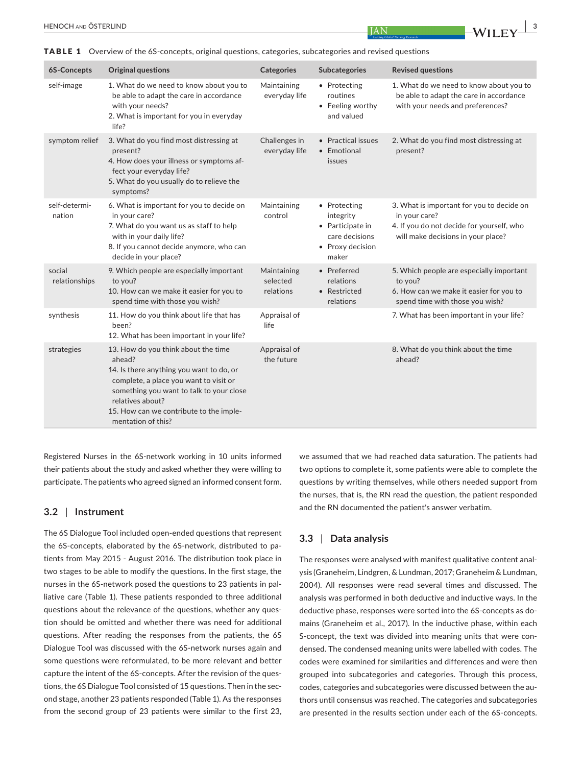TABLE 1 Overview of the 6S-concepts, original questions, categories, subcategories and revised questions

| 6S-Concepts             | <b>Original questions</b>                                                                                                                                                                                                                                            | Categories                           | <b>Subcategories</b>                                                                         | <b>Revised questions</b>                                                                                                                      |
|-------------------------|----------------------------------------------------------------------------------------------------------------------------------------------------------------------------------------------------------------------------------------------------------------------|--------------------------------------|----------------------------------------------------------------------------------------------|-----------------------------------------------------------------------------------------------------------------------------------------------|
| self-image              | 1. What do we need to know about you to<br>be able to adapt the care in accordance<br>with your needs?<br>2. What is important for you in everyday<br>life?                                                                                                          | Maintaining<br>everyday life         | • Protecting<br>routines<br>• Feeling worthy<br>and valued                                   | 1. What do we need to know about you to<br>be able to adapt the care in accordance<br>with your needs and preferences?                        |
| symptom relief          | 3. What do you find most distressing at<br>present?<br>4. How does your illness or symptoms af-<br>fect your everyday life?<br>5. What do you usually do to relieve the<br>symptoms?                                                                                 | Challenges in<br>everyday life       | • Practical issues<br>• Emotional<br>issues                                                  | 2. What do you find most distressing at<br>present?                                                                                           |
| self-determi-<br>nation | 6. What is important for you to decide on<br>in your care?<br>7. What do you want us as staff to help<br>with in your daily life?<br>8. If you cannot decide anymore, who can<br>decide in your place?                                                               | Maintaining<br>control               | • Protecting<br>integrity<br>• Participate in<br>care decisions<br>• Proxy decision<br>maker | 3. What is important for you to decide on<br>in your care?<br>4. If you do not decide for yourself, who<br>will make decisions in your place? |
| social<br>relationships | 9. Which people are especially important<br>to you?<br>10. How can we make it easier for you to<br>spend time with those you wish?                                                                                                                                   | Maintaining<br>selected<br>relations | • Preferred<br>relations<br>• Restricted<br>relations                                        | 5. Which people are especially important<br>to you?<br>6. How can we make it easier for you to<br>spend time with those you wish?             |
| synthesis               | 11. How do you think about life that has<br>been?<br>12. What has been important in your life?                                                                                                                                                                       | Appraisal of<br>life                 |                                                                                              | 7. What has been important in your life?                                                                                                      |
| strategies              | 13. How do you think about the time<br>ahead?<br>14. Is there anything you want to do, or<br>complete, a place you want to visit or<br>something you want to talk to your close<br>relatives about?<br>15. How can we contribute to the imple-<br>mentation of this? | Appraisal of<br>the future           |                                                                                              | 8. What do you think about the time<br>ahead?                                                                                                 |

Registered Nurses in the 6S‐network working in 10 units informed their patients about the study and asked whether they were willing to participate. The patients who agreed signed an informed consent form.

#### **3.2** | **Instrument**

The 6S Dialogue Tool included open‐ended questions that represent the 6S-concepts, elaborated by the 6S-network, distributed to patients from May 2015 ‐ August 2016. The distribution took place in two stages to be able to modify the questions. In the first stage, the nurses in the 6S-network posed the questions to 23 patients in palliative care (Table 1). These patients responded to three additional questions about the relevance of the questions, whether any ques‐ tion should be omitted and whether there was need for additional questions. After reading the responses from the patients, the 6S Dialogue Tool was discussed with the 6S‐network nurses again and some questions were reformulated, to be more relevant and better capture the intent of the 6S-concepts. After the revision of the questions, the 6S Dialogue Tool consisted of 15 questions. Then in the sec‐ ond stage, another 23 patients responded (Table 1). As the responses from the second group of 23 patients were similar to the first 23,

we assumed that we had reached data saturation. The patients had two options to complete it, some patients were able to complete the questions by writing themselves, while others needed support from the nurses, that is, the RN read the question, the patient responded and the RN documented the patient's answer verbatim.

# **3.3** | **Data analysis**

The responses were analysed with manifest qualitative content anal‐ ysis (Graneheim, Lindgren, & Lundman, 2017; Graneheim & Lundman, 2004). All responses were read several times and discussed. The analysis was performed in both deductive and inductive ways. In the deductive phase, responses were sorted into the 6S‐concepts as do‐ mains (Graneheim et al., 2017). In the inductive phase, within each S-concept, the text was divided into meaning units that were condensed. The condensed meaning units were labelled with codes. The codes were examined for similarities and differences and were then grouped into subcategories and categories. Through this process, codes, categories and subcategories were discussed between the au‐ thors until consensus was reached. The categories and subcategories are presented in the results section under each of the 6S‐concepts.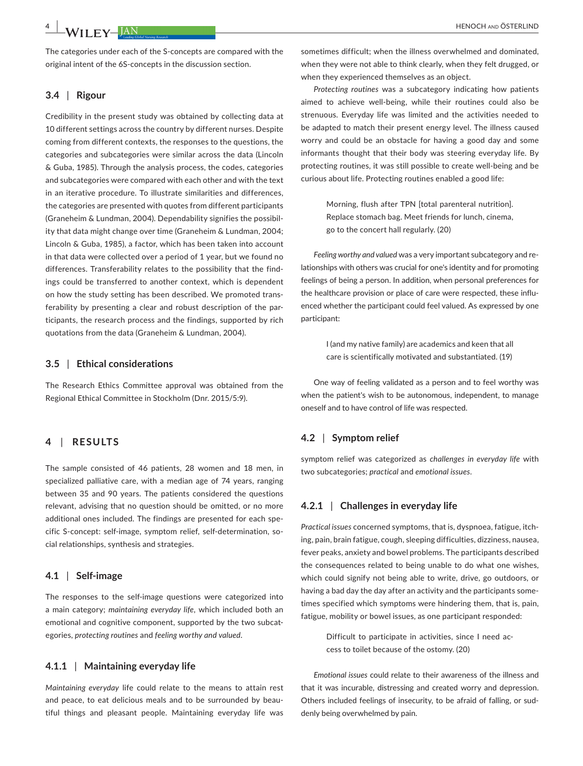The categories under each of the S-concepts are compared with the original intent of the 6S-concepts in the discussion section.

#### **3.4** | **Rigour**

Credibility in the present study was obtained by collecting data at 10 different settings across the country by different nurses. Despite coming from different contexts, the responses to the questions, the categories and subcategories were similar across the data (Lincoln & Guba, 1985). Through the analysis process, the codes, categories and subcategories were compared with each other and with the text in an iterative procedure. To illustrate similarities and differences, the categories are presented with quotes from different participants (Graneheim & Lundman, 2004). Dependability signifies the possibil‐ ity that data might change over time (Graneheim & Lundman, 2004; Lincoln & Guba, 1985), a factor, which has been taken into account in that data were collected over a period of 1 year, but we found no differences. Transferability relates to the possibility that the find‐ ings could be transferred to another context, which is dependent on how the study setting has been described. We promoted trans‐ ferability by presenting a clear and robust description of the par‐ ticipants, the research process and the findings, supported by rich quotations from the data (Graneheim & Lundman, 2004).

#### **3.5** | **Ethical considerations**

The Research Ethics Committee approval was obtained from the Regional Ethical Committee in Stockholm (Dnr. 2015/5:9).

# **4** | **RESULTS**

The sample consisted of 46 patients, 28 women and 18 men, in specialized palliative care, with a median age of 74 years, ranging between 35 and 90 years. The patients considered the questions relevant, advising that no question should be omitted, or no more additional ones included. The findings are presented for each spe‐ cific S-concept: self-image, symptom relief, self-determination, social relationships, synthesis and strategies.

#### **4.1** | **Self‐image**

The responses to the self-image questions were categorized into a main category; *maintaining everyday life*, which included both an emotional and cognitive component, supported by the two subcategories, *protecting routines* and *feeling worthy and valued*.

#### **4.1.1** | **Maintaining everyday life**

*Maintaining everyday* life could relate to the means to attain rest and peace, to eat delicious meals and to be surrounded by beautiful things and pleasant people. Maintaining everyday life was

sometimes difficult; when the illness overwhelmed and dominated, when they were not able to think clearly, when they felt drugged, or when they experienced themselves as an object*.*

*Protecting routines* was a subcategory indicating how patients aimed to achieve well‐being, while their routines could also be strenuous. Everyday life was limited and the activities needed to be adapted to match their present energy level. The illness caused worry and could be an obstacle for having a good day and some informants thought that their body was steering everyday life. By protecting routines, it was still possible to create well‐being and be curious about life. Protecting routines enabled a good life:

> Morning, flush after TPN [total parenteral nutrition]. Replace stomach bag. Meet friends for lunch, cinema, go to the concert hall regularly. (20)

*Feeling worthy and valued* was a very important subcategory and re‐ lationships with others was crucial for one's identity and for promoting feelings of being a person. In addition, when personal preferences for the healthcare provision or place of care were respected, these influ‐ enced whether the participant could feel valued. As expressed by one participant:

> I (and my native family) are academics and keen that all care is scientifically motivated and substantiated. (19)

One way of feeling validated as a person and to feel worthy was when the patient's wish to be autonomous, independent, to manage oneself and to have control of life was respected.

#### **4.2** | **Symptom relief**

symptom relief was categorized as *challenges in everyday life* with two subcategories; *practical* and *emotional issues*.

# **4.2.1** | **Challenges in everyday life**

*Practical issues* concerned symptoms, that is, dyspnoea, fatigue, itch‐ ing, pain, brain fatigue, cough, sleeping difficulties, dizziness, nausea, fever peaks, anxiety and bowel problems. The participants described the consequences related to being unable to do what one wishes, which could signify not being able to write, drive, go outdoors, or having a bad day the day after an activity and the participants some‐ times specified which symptoms were hindering them, that is, pain, fatigue, mobility or bowel issues, as one participant responded:

Difficult to participate in activities, since I need ac‐ cess to toilet because of the ostomy. (20)

*Emotional issues* could relate to their awareness of the illness and that it was incurable, distressing and created worry and depression. Others included feelings of insecurity, to be afraid of falling, or sud‐ denly being overwhelmed by pain.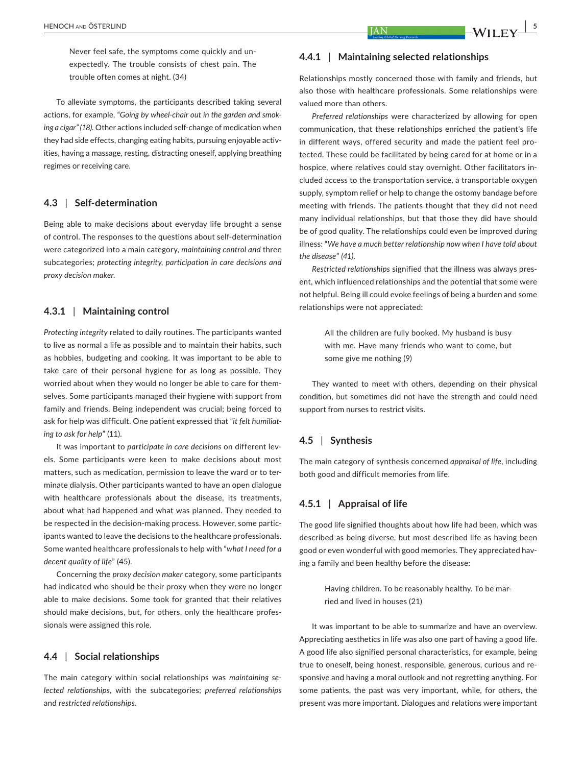Never feel safe, the symptoms come quickly and un‐ expectedly. The trouble consists of chest pain. The trouble often comes at night. (34)

To alleviate symptoms, the participants described taking several actions, for example, "*Going by wheel‐chair out in the garden and smok‐ ing a cigar" (18).* Other actions included self‐change of medication when they had side effects, changing eating habits, pursuing enjoyable activ‐ ities, having a massage, resting, distracting oneself, applying breathing regimes or receiving care.

#### **4.3** | **Self‐determination**

Being able to make decisions about everyday life brought a sense of control. The responses to the questions about self‐determination were categorized into a main category, *maintaining control and* three subcategories; *protecting integrity, participation in care decisions and proxy decision maker.*

### **4.3.1** | **Maintaining control**

*Protecting integrity* related to daily routines. The participants wanted to live as normal a life as possible and to maintain their habits, such as hobbies, budgeting and cooking. It was important to be able to take care of their personal hygiene for as long as possible. They worried about when they would no longer be able to care for themselves. Some participants managed their hygiene with support from family and friends. Being independent was crucial; being forced to ask for help was difficult. One patient expressed that "*it felt humiliat‐ ing to ask for help*" (11).

It was important to *participate in care decisions* on different lev‐ els. Some participants were keen to make decisions about most matters, such as medication, permission to leave the ward or to ter‐ minate dialysis. Other participants wanted to have an open dialogue with healthcare professionals about the disease, its treatments, about what had happened and what was planned. They needed to be respected in the decision-making process. However, some participants wanted to leave the decisions to the healthcare professionals. Some wanted healthcare professionals to help with "*what I need for a decent quality of life*" (45).

Concerning the *proxy decision maker* category, some participants had indicated who should be their proxy when they were no longer able to make decisions. Some took for granted that their relatives should make decisions, but, for others, only the healthcare profes‐ sionals were assigned this role.

### **4.4** | **Social relationships**

The main category within social relationships was *maintaining se‐ lected relationships*, with the subcategories; *preferred relationships* and *restricted relationships*.

#### **4.4.1** | **Maintaining selected relationships**

Relationships mostly concerned those with family and friends, but also those with healthcare professionals. Some relationships were valued more than others.

*Preferred relationships* were characterized by allowing for open communication, that these relationships enriched the patient's life in different ways, offered security and made the patient feel protected. These could be facilitated by being cared for at home or in a hospice, where relatives could stay overnight. Other facilitators in‐ cluded access to the transportation service, a transportable oxygen supply, symptom relief or help to change the ostomy bandage before meeting with friends. The patients thought that they did not need many individual relationships, but that those they did have should be of good quality. The relationships could even be improved during illness: "*We have a much better relationship now when I have told about the disease*" *(41)*.

*Restricted relationships* signified that the illness was always pres‐ ent, which influenced relationships and the potential that some were not helpful. Being ill could evoke feelings of being a burden and some relationships were not appreciated:

> All the children are fully booked. My husband is busy with me. Have many friends who want to come, but some give me nothing (9)

They wanted to meet with others, depending on their physical condition, but sometimes did not have the strength and could need support from nurses to restrict visits.

## **4.5** | **Synthesis**

The main category of synthesis concerned *appraisal of life*, including both good and difficult memories from life.

# **4.5.1** | **Appraisal of life**

The good life signified thoughts about how life had been, which was described as being diverse, but most described life as having been good or even wonderful with good memories. They appreciated having a family and been healthy before the disease:

> Having children. To be reasonably healthy. To be mar‐ ried and lived in houses (21)

It was important to be able to summarize and have an overview. Appreciating aesthetics in life was also one part of having a good life. A good life also signified personal characteristics, for example, being true to oneself, being honest, responsible, generous, curious and re‐ sponsive and having a moral outlook and not regretting anything. For some patients, the past was very important, while, for others, the present was more important. Dialogues and relations were important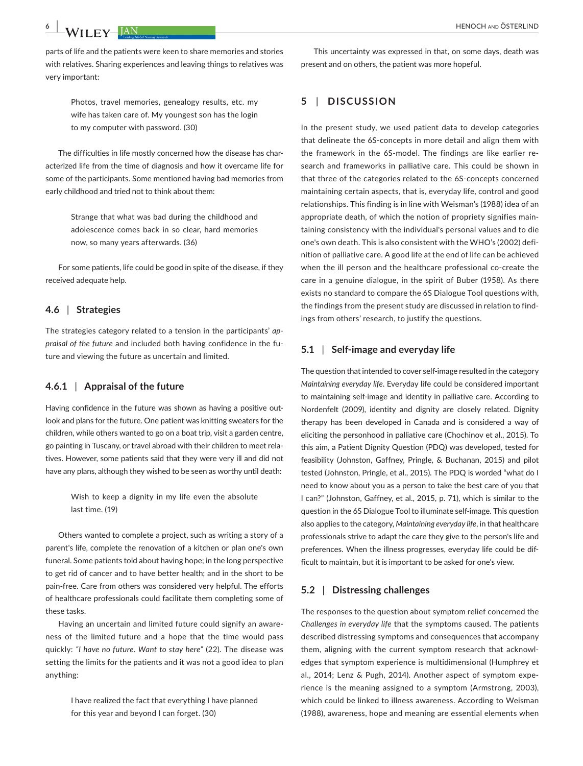parts of life and the patients were keen to share memories and stories with relatives. Sharing experiences and leaving things to relatives was very important:

> Photos, travel memories, genealogy results, etc. my wife has taken care of. My youngest son has the login to my computer with password. (30)

The difficulties in life mostly concerned how the disease has characterized life from the time of diagnosis and how it overcame life for some of the participants. Some mentioned having bad memories from early childhood and tried not to think about them:

> Strange that what was bad during the childhood and adolescence comes back in so clear, hard memories now, so many years afterwards. (36)

For some patients, life could be good in spite of the disease, if they received adequate help.

### **4.6** | **Strategies**

The strategies category related to a tension in the participants' *ap‐ praisal of the future* and included both having confidence in the fu‐ ture and viewing the future as uncertain and limited.

# **4.6.1** | **Appraisal of the future**

Having confidence in the future was shown as having a positive outlook and plans for the future. One patient was knitting sweaters for the children, while others wanted to go on a boat trip, visit a garden centre, go painting in Tuscany, or travel abroad with their children to meet rela‐ tives. However, some patients said that they were very ill and did not have any plans, although they wished to be seen as worthy until death:

> Wish to keep a dignity in my life even the absolute last time. (19)

Others wanted to complete a project, such as writing a story of a parent's life, complete the renovation of a kitchen or plan one's own funeral. Some patients told about having hope; in the long perspective to get rid of cancer and to have better health; and in the short to be pain‐free. Care from others was considered very helpful. The efforts of healthcare professionals could facilitate them completing some of these tasks.

Having an uncertain and limited future could signify an aware‐ ness of the limited future and a hope that the time would pass quickly: *"I have no future. Want to stay here"* (22). The disease was setting the limits for the patients and it was not a good idea to plan anything:

> I have realized the fact that everything I have planned for this year and beyond I can forget. (30)

This uncertainty was expressed in that, on some days, death was present and on others, the patient was more hopeful.

## **5** | **DISCUSSION**

In the present study, we used patient data to develop categories that delineate the 6S‐concepts in more detail and align them with the framework in the 6S‐model. The findings are like earlier re‐ search and frameworks in palliative care. This could be shown in that three of the categories related to the 6S‐concepts concerned maintaining certain aspects, that is, everyday life, control and good relationships. This finding is in line with Weisman's (1988) idea of an appropriate death, of which the notion of propriety signifies main‐ taining consistency with the individual's personal values and to die one's own death. This is also consistent with the WHO's (2002) defi‐ nition of palliative care. A good life at the end of life can be achieved when the ill person and the healthcare professional co-create the care in a genuine dialogue, in the spirit of Buber (1958). As there exists no standard to compare the 6S Dialogue Tool questions with, the findings from the present study are discussed in relation to find‐ ings from others' research, to justify the questions.

## **5.1** | **Self‐image and everyday life**

The question that intended to cover self‐image resulted in the category *Maintaining everyday life*. Everyday life could be considered important to maintaining self‐image and identity in palliative care. According to Nordenfelt (2009), identity and dignity are closely related. Dignity therapy has been developed in Canada and is considered a way of eliciting the personhood in palliative care (Chochinov et al., 2015). To this aim, a Patient Dignity Question (PDQ) was developed, tested for feasibility (Johnston, Gaffney, Pringle, & Buchanan, 2015) and pilot tested (Johnston, Pringle, et al., 2015). The PDQ is worded "what do I need to know about you as a person to take the best care of you that I can?" (Johnston, Gaffney, et al., 2015, p. 71), which is similar to the question in the 6S Dialogue Tool to illuminate self‐image. This question also applies to the category, *Maintaining everyday life*, in that healthcare professionals strive to adapt the care they give to the person's life and preferences. When the illness progresses, everyday life could be dif‐ ficult to maintain, but it is important to be asked for one's view.

#### **5.2** | **Distressing challenges**

The responses to the question about symptom relief concerned the *Challenges in everyday life* that the symptoms caused. The patients described distressing symptoms and consequences that accompany them, aligning with the current symptom research that acknowl‐ edges that symptom experience is multidimensional (Humphrey et al., 2014; Lenz & Pugh, 2014). Another aspect of symptom expe‐ rience is the meaning assigned to a symptom (Armstrong, 2003), which could be linked to illness awareness. According to Weisman (1988), awareness, hope and meaning are essential elements when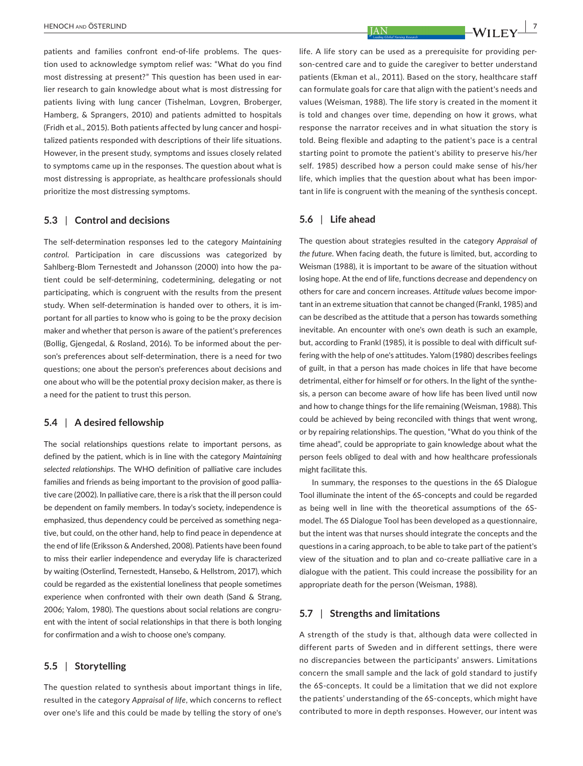patients and families confront end-of-life problems. The question used to acknowledge symptom relief was: "What do you find most distressing at present?" This question has been used in ear‐ lier research to gain knowledge about what is most distressing for patients living with lung cancer (Tishelman, Lovgren, Broberger, Hamberg, & Sprangers, 2010) and patients admitted to hospitals (Fridh et al., 2015). Both patients affected by lung cancer and hospi‐ talized patients responded with descriptions of their life situations. However, in the present study, symptoms and issues closely related to symptoms came up in the responses. The question about what is most distressing is appropriate, as healthcare professionals should prioritize the most distressing symptoms.

### **5.3** | **Control and decisions**

The self‐determination responses led to the category *Maintaining control*. Participation in care discussions was categorized by Sahlberg‐Blom Ternestedt and Johansson (2000) into how the pa‐ tient could be self‐determining, codetermining, delegating or not participating, which is congruent with the results from the present study. When self-determination is handed over to others, it is important for all parties to know who is going to be the proxy decision maker and whether that person is aware of the patient's preferences (Bollig, Gjengedal, & Rosland, 2016). To be informed about the per‐ son's preferences about self‐determination, there is a need for two questions; one about the person's preferences about decisions and one about who will be the potential proxy decision maker, as there is a need for the patient to trust this person.

#### **5.4** | **A desired fellowship**

The social relationships questions relate to important persons, as defined by the patient, which is in line with the category *Maintaining selected relationships*. The WHO definition of palliative care includes families and friends as being important to the provision of good pallia‐ tive care (2002). In palliative care, there is a risk that the ill person could be dependent on family members. In today's society, independence is emphasized, thus dependency could be perceived as something negative, but could, on the other hand, help to find peace in dependence at the end of life (Eriksson & Andershed, 2008). Patients have been found to miss their earlier independence and everyday life is characterized by waiting (Osterlind, Ternestedt, Hansebo, & Hellstrom, 2017), which could be regarded as the existential loneliness that people sometimes experience when confronted with their own death (Sand & Strang, 2006; Yalom, 1980). The questions about social relations are congru‐ ent with the intent of social relationships in that there is both longing for confirmation and a wish to choose one's company.

#### **5.5** | **Storytelling**

The question related to synthesis about important things in life, resulted in the category *Appraisal of life*, which concerns to reflect over one's life and this could be made by telling the story of one's life. A life story can be used as a prerequisite for providing per‐ son-centred care and to guide the caregiver to better understand patients (Ekman et al., 2011). Based on the story, healthcare staff can formulate goals for care that align with the patient's needs and values (Weisman, 1988). The life story is created in the moment it is told and changes over time, depending on how it grows, what response the narrator receives and in what situation the story is told. Being flexible and adapting to the patient's pace is a central starting point to promote the patient's ability to preserve his/her self. 1985) described how a person could make sense of his/her life, which implies that the question about what has been impor‐ tant in life is congruent with the meaning of the synthesis concept.

#### **5.6** | **Life ahead**

The question about strategies resulted in the category *Appraisal of the future*. When facing death, the future is limited, but, according to Weisman (1988), it is important to be aware of the situation without losing hope. At the end of life, functions decrease and dependency on others for care and concern increases. *Attitude values* become impor‐ tant in an extreme situation that cannot be changed (Frankl, 1985) and can be described as the attitude that a person has towards something inevitable. An encounter with one's own death is such an example, but, according to Frankl (1985), it is possible to deal with difficult suf‐ fering with the help of one's attitudes. Yalom (1980) describes feelings of guilt, in that a person has made choices in life that have become detrimental, either for himself or for others. In the light of the synthe‐ sis, a person can become aware of how life has been lived until now and how to change things for the life remaining (Weisman, 1988). This could be achieved by being reconciled with things that went wrong, or by repairing relationships. The question, "What do you think of the time ahead", could be appropriate to gain knowledge about what the person feels obliged to deal with and how healthcare professionals might facilitate this.

In summary, the responses to the questions in the 6S Dialogue Tool illuminate the intent of the 6S‐concepts and could be regarded as being well in line with the theoretical assumptions of the 6S‐ model. The 6S Dialogue Tool has been developed as a questionnaire, but the intent was that nurses should integrate the concepts and the questions in a caring approach, to be able to take part of the patient's view of the situation and to plan and co-create palliative care in a dialogue with the patient. This could increase the possibility for an appropriate death for the person (Weisman, 1988).

#### **5.7** | **Strengths and limitations**

A strength of the study is that, although data were collected in different parts of Sweden and in different settings, there were no discrepancies between the participants' answers. Limitations concern the small sample and the lack of gold standard to justify the 6S‐concepts. It could be a limitation that we did not explore the patients' understanding of the 6S‐concepts, which might have contributed to more in depth responses. However, our intent was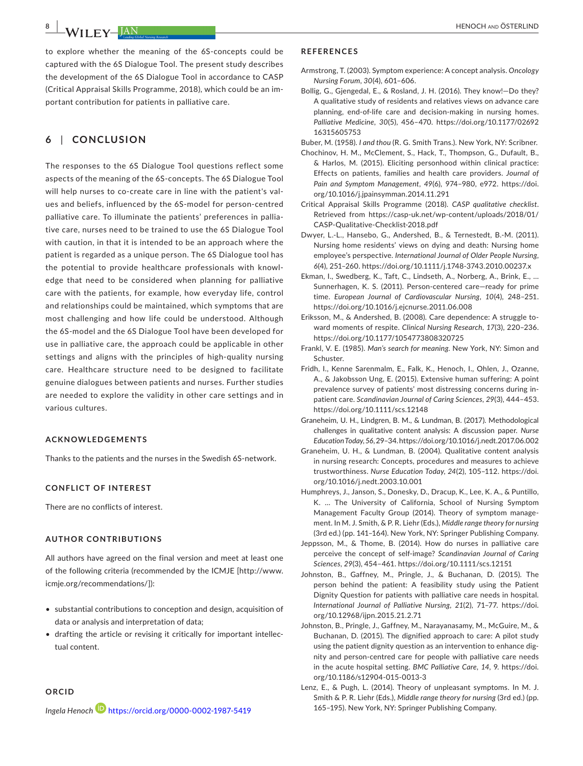to explore whether the meaning of the 6S‐concepts could be captured with the 6S Dialogue Tool. The present study describes the development of the 6S Dialogue Tool in accordance to CASP (Critical Appraisal Skills Programme, 2018), which could be an im‐ portant contribution for patients in palliative care.

# **6** | **CONCLUSION**

The responses to the 6S Dialogue Tool questions reflect some aspects of the meaning of the 6S‐concepts. The 6S Dialogue Tool will help nurses to co-create care in line with the patient's values and beliefs, influenced by the 6S‐model for person‐centred palliative care. To illuminate the patients' preferences in pallia‐ tive care, nurses need to be trained to use the 6S Dialogue Tool with caution, in that it is intended to be an approach where the patient is regarded as a unique person. The 6S Dialogue tool has the potential to provide healthcare professionals with knowl‐ edge that need to be considered when planning for palliative care with the patients, for example, how everyday life, control and relationships could be maintained, which symptoms that are most challenging and how life could be understood. Although the 6S‐model and the 6S Dialogue Tool have been developed for use in palliative care, the approach could be applicable in other settings and aligns with the principles of high-quality nursing care. Healthcare structure need to be designed to facilitate genuine dialogues between patients and nurses. Further studies are needed to explore the validity in other care settings and in various cultures.

#### **ACKNOWLEDGEMENTS**

Thanks to the patients and the nurses in the Swedish 6S‐network.

#### **CONFLICT OF INTEREST**

There are no conflicts of interest.

#### **AUTHOR CONTRIBUTIONS**

All authors have agreed on the final version and meet at least one of the following criteria (recommended by the ICMJE [[http://www.](http://www.icmje.org/recommendations/) [icmje.org/recommendations/](http://www.icmje.org/recommendations/)]):

- substantial contributions to conception and design, acquisition of data or analysis and interpretation of data;
- drafting the article or revising it critically for important intellec‐ tual content.

#### **ORCID**

*Ingela Henoch* <https://orcid.org/0000-0002-1987-5419>

#### **REFERENCES**

- Armstrong, T. (2003). Symptom experience: A concept analysis. *Oncology Nursing Forum*, *30*(4), 601–606.
- Bollig, G., Gjengedal, E., & Rosland, J. H. (2016). They know!—Do they? A qualitative study of residents and relatives views on advance care planning, end‐of‐life care and decision‐making in nursing homes. *Palliative Medicine*, *30*(5), 456–470. [https://doi.org/10.1177/02692](https://doi.org/10.1177/0269216315605753) [16315605753](https://doi.org/10.1177/0269216315605753)
- Buber, M. (1958). *I and thou* (R. G. Smith Trans.). New York, NY: Scribner. Chochinov, H. M., McClement, S., Hack, T., Thompson, G., Dufault, B., & Harlos, M. (2015). Eliciting personhood within clinical practice: Effects on patients, families and health care providers. *Journal of Pain and Symptom Management*, *49*(6), 974–980, e972. [https://doi.](https://doi.org/10.1016/j.jpainsymman.2014.11.291) [org/10.1016/j.jpainsymman.2014.11.291](https://doi.org/10.1016/j.jpainsymman.2014.11.291)
- Critical Appraisal Skills Programme (2018). *CASP qualitative checklist*. Retrieved from [https://casp-uk.net/wp-content/uploads/2018/01/](https://casp-uk.net/wp-content/uploads/2018/01/CASP-Qualitative-Checklist-2018.pdf) [CASP-Qualitative-Checklist-2018.pdf](https://casp-uk.net/wp-content/uploads/2018/01/CASP-Qualitative-Checklist-2018.pdf)
- Dwyer, L.‐L., Hansebo, G., Andershed, B., & Ternestedt, B.‐M. (2011). Nursing home residents' views on dying and death: Nursing home employee's perspective. *International Journal of Older People Nursing*, *6*(4), 251–260. <https://doi.org/10.1111/j.1748-3743.2010.00237.x>
- Ekman, I., Swedberg, K., Taft, C., Lindseth, A., Norberg, A., Brink, E., … Sunnerhagen, K. S. (2011). Person‐centered care—ready for prime time. *European Journal of Cardiovascular Nursing*, *10*(4), 248–251. <https://doi.org/10.1016/j.ejcnurse.2011.06.008>
- Eriksson, M., & Andershed, B. (2008). Care dependence: A struggle to‐ ward moments of respite. *Clinical Nursing Research*, *17*(3), 220–236. <https://doi.org/10.1177/1054773808320725>
- Frankl, V. E. (1985). *Man's search for meaning*. New York, NY: Simon and Schuster.
- Fridh, I., Kenne Sarenmalm, E., Falk, K., Henoch, I., Ohlen, J., Ozanne, A., & Jakobsson Ung, E. (2015). Extensive human suffering: A point prevalence survey of patients' most distressing concerns during in‐ patient care. *Scandinavian Journal of Caring Sciences*, *29*(3), 444–453. <https://doi.org/10.1111/scs.12148>
- Graneheim, U. H., Lindgren, B. M., & Lundman, B. (2017). Methodological challenges in qualitative content analysis: A discussion paper. *Nurse Education Today*, *56*, 29–34.<https://doi.org/10.1016/j.nedt.2017.06.002>
- Graneheim, U. H., & Lundman, B. (2004). Qualitative content analysis in nursing research: Concepts, procedures and measures to achieve trustworthiness. *Nurse Education Today*, *24*(2), 105–112. [https://doi.](https://doi.org/10.1016/j.nedt.2003.10.001) [org/10.1016/j.nedt.2003.10.001](https://doi.org/10.1016/j.nedt.2003.10.001)
- Humphreys, J., Janson, S., Donesky, D., Dracup, K., Lee, K. A., & Puntillo, K. … The University of California, School of Nursing Symptom Management Faculty Group (2014). Theory of symptom manage‐ ment. In M. J. Smith, & P. R. Liehr (Eds.), *Middle range theory for nursing* (3rd ed.) (pp. 141–164). New York, NY: Springer Publishing Company.
- Jeppsson, M., & Thome, B. (2014). How do nurses in palliative care perceive the concept of self‐image? *Scandinavian Journal of Caring Sciences*, *29*(3), 454–461. <https://doi.org/10.1111/scs.12151>
- Johnston, B., Gaffney, M., Pringle, J., & Buchanan, D. (2015). The person behind the patient: A feasibility study using the Patient Dignity Question for patients with palliative care needs in hospital. *International Journal of Palliative Nursing*, *21*(2), 71–77. [https://doi.](https://doi.org/10.12968/ijpn.2015.21.2.71) [org/10.12968/ijpn.2015.21.2.71](https://doi.org/10.12968/ijpn.2015.21.2.71)
- Johnston, B., Pringle, J., Gaffney, M., Narayanasamy, M., McGuire, M., & Buchanan, D. (2015). The dignified approach to care: A pilot study using the patient dignity question as an intervention to enhance dig‐ nity and person‐centred care for people with palliative care needs in the acute hospital setting. *BMC Palliative Care*, *14*, 9. [https://doi.](https://doi.org/10.1186/s12904-015-0013-3) [org/10.1186/s12904-015-0013-3](https://doi.org/10.1186/s12904-015-0013-3)
- Lenz, E., & Pugh, L. (2014). Theory of unpleasant symptoms. In M. J. Smith & P. R. Liehr (Eds.), *Middle range theory for nursing* (3rd ed.) (pp. 165–195). New York, NY: Springer Publishing Company.